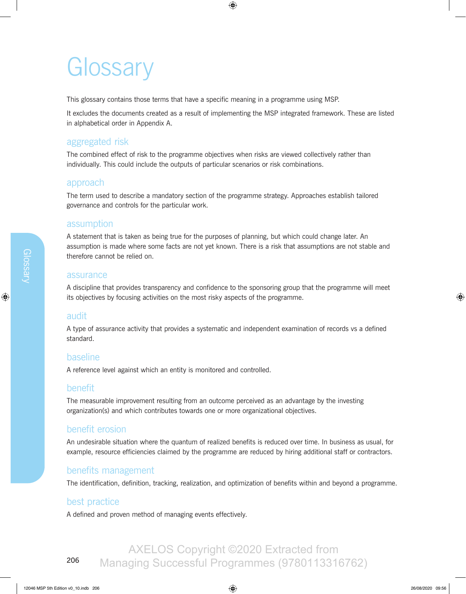# **Glossary**

This glossary contains those terms that have a specific meaning in a programme using MSP.

It excludes the documents created as a result of implementing the MSP integrated framework. These are listed in alphabetical order in Appendix A.

## aggregated risk

The combined effect of risk to the programme objectives when risks are viewed collectively rather than individually. This could include the outputs of particular scenarios or risk combinations.

## approach

The term used to describe a mandatory section of the programme strategy. Approaches establish tailored governance and controls for the particular work.

#### assumption

A statement that is taken as being true for the purposes of planning, but which could change later. An assumption is made where some facts are not yet known. There is a risk that assumptions are not stable and therefore cannot be relied on.

#### assurance

A discipline that provides transparency and confidence to the sponsoring group that the programme will meet its objectives by focusing activities on the most risky aspects of the programme.

## audit

A type of assurance activity that provides a systematic and independent examination of records vs a defined standard.

## baseline

A reference level against which an entity is monitored and controlled.

# benefit

The measurable improvement resulting from an outcome perceived as an advantage by the investing organization(s) and which contributes towards one or more organizational objectives.

# benefit erosion

An undesirable situation where the quantum of realized benefits is reduced over time. In business as usual, for example, resource efficiencies claimed by the programme are reduced by hiring additional staff or contractors.

## benefits management

The identification, definition, tracking, realization, and optimization of benefits within and beyond a programme.

## best practice

206

A defined and proven method of managing events effectively.

# AXELOS Copyright ©2020 Extracted from Managing Successful Programmes (9780113316762)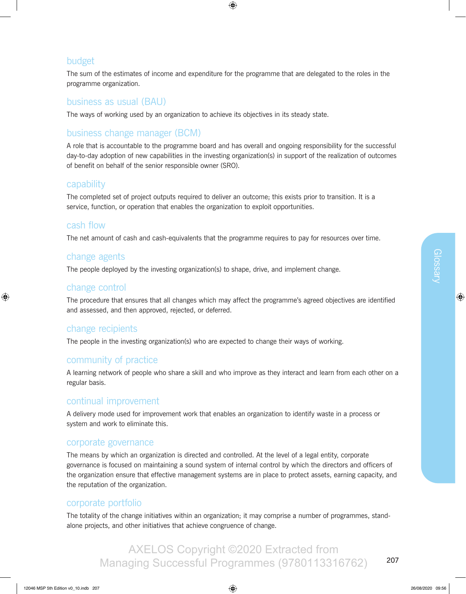# budget

The sum of the estimates of income and expenditure for the programme that are delegated to the roles in the programme organization.

# business as usual (BAU)

The ways of working used by an organization to achieve its objectives in its steady state.

# business change manager (BCM)

A role that is accountable to the programme board and has overall and ongoing responsibility for the successful day-to-day adoption of new capabilities in the investing organization(s) in support of the realization of outcomes of benefit on behalf of the senior responsible owner (SRO).

# capability

The completed set of project outputs required to deliver an outcome; this exists prior to transition. It is a service, function, or operation that enables the organization to exploit opportunities.

# cash flow

The net amount of cash and cash-equivalents that the programme requires to pay for resources over time.

# change agents

The people deployed by the investing organization(s) to shape, drive, and implement change.

# change control

The procedure that ensures that all changes which may affect the programme's agreed objectives are identified and assessed, and then approved, rejected, or deferred.

# change recipients

The people in the investing organization(s) who are expected to change their ways of working.

# community of practice

A learning network of people who share a skill and who improve as they interact and learn from each other on a regular basis.

# continual improvement

A delivery mode used for improvement work that enables an organization to identify waste in a process or system and work to eliminate this.

# corporate governance

The means by which an organization is directed and controlled. At the level of a legal entity, corporate governance is focused on maintaining a sound system of internal control by which the directors and officers of the organization ensure that effective management systems are in place to protect assets, earning capacity, and the reputation of the organization.

# corporate portfolio

The totality of the change initiatives within an organization; it may comprise a number of programmes, standalone projects, and other initiatives that achieve congruence of change.

# AXELOS Copyright ©2020 Extracted from Managing Successful Programmes (9780113316762)

207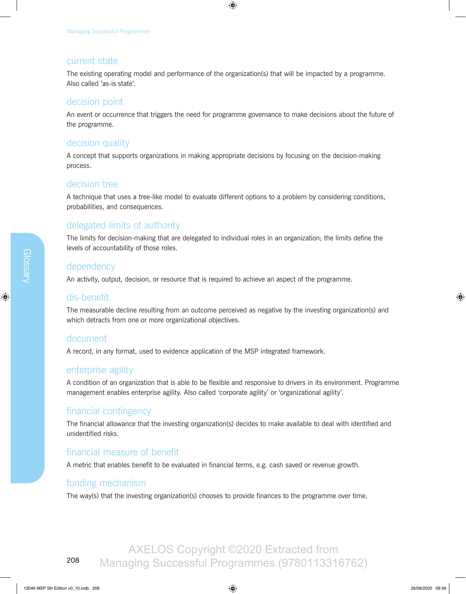## current state

The existing operating model and performance of the organization(s) that will be impacted by a programme. Also called 'as-is state'.

# decision point

An event or occurrence that triggers the need for programme governance to make decisions about the future of the programme.

# decision quality

A concept that supports organizations in making appropriate decisions by focusing on the decision-making process.

## decision tree

A technique that uses a tree-like model to evaluate different options to a problem by considering conditions, probabilities, and consequences.

# delegated limits of authority

The limits for decision-making that are delegated to individual roles in an organization; the limits define the levels of accountability of those roles.

#### dependency

An activity, output, decision, or resource that is required to achieve an aspect of the programme.

#### dis-benefit

The measurable decline resulting from an outcome perceived as negative by the investing organization(s) and which detracts from one or more organizational objectives.

# document

A record, in any format, used to evidence application of the MSP integrated framework.

# enterprise agility

A condition of an organization that is able to be flexible and responsive to drivers in its environment. Programme management enables enterprise agility. Also called 'corporate agility' or 'organizational agility'.

## financial contingency

The financial allowance that the investing organization(s) decides to make available to deal with identified and unidentified risks.

## financial measure of benefit

A metric that enables benefit to be evaluated in financial terms, e.g. cash saved or revenue growth.

## funding mechanism

The way(s) that the investing organization(s) chooses to provide finances to the programme over time.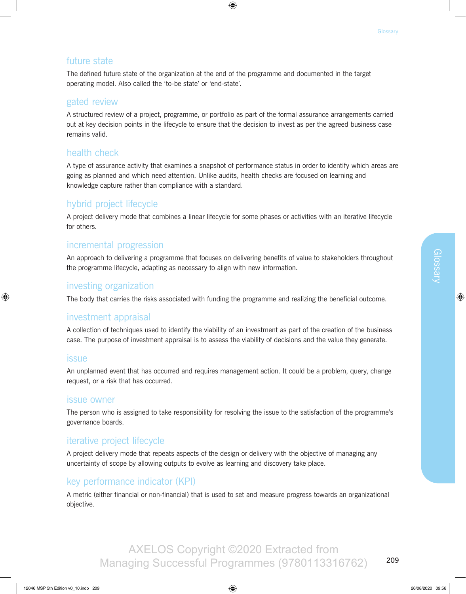# future state

The defined future state of the organization at the end of the programme and documented in the target operating model. Also called the 'to-be state' or 'end-state'.

# gated review

A structured review of a project, programme, or portfolio as part of the formal assurance arrangements carried out at key decision points in the lifecycle to ensure that the decision to invest as per the agreed business case remains valid.

# health check

A type of assurance activity that examines a snapshot of performance status in order to identify which areas are going as planned and which need attention. Unlike audits, health checks are focused on learning and knowledge capture rather than compliance with a standard.

# hybrid project lifecycle

A project delivery mode that combines a linear lifecycle for some phases or activities with an iterative lifecycle for others.

# incremental progression

An approach to delivering a programme that focuses on delivering benefits of value to stakeholders throughout the programme lifecycle, adapting as necessary to align with new information.

# investing organization

The body that carries the risks associated with funding the programme and realizing the beneficial outcome.

# investment appraisal

A collection of techniques used to identify the viability of an investment as part of the creation of the business case. The purpose of investment appraisal is to assess the viability of decisions and the value they generate.

#### **issue**

An unplanned event that has occurred and requires management action. It could be a problem, query, change request, or a risk that has occurred.

#### issue owner

The person who is assigned to take responsibility for resolving the issue to the satisfaction of the programme's governance boards.

# iterative project lifecycle

A project delivery mode that repeats aspects of the design or delivery with the objective of managing any uncertainty of scope by allowing outputs to evolve as learning and discovery take place.

# key performance indicator (KPI)

A metric (either financial or non-financial) that is used to set and measure progress towards an organizational objective.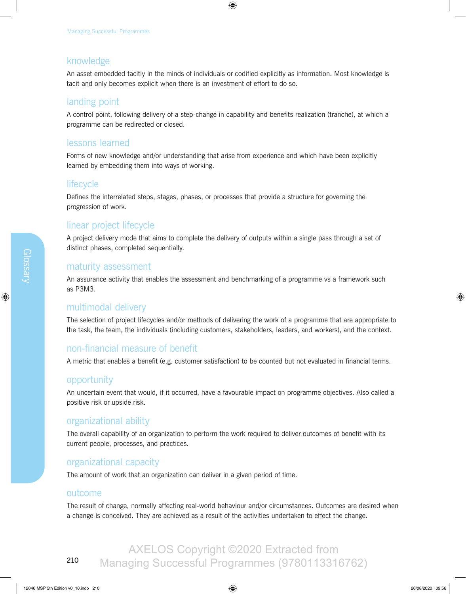# knowledge

An asset embedded tacitly in the minds of individuals or codified explicitly as information. Most knowledge is tacit and only becomes explicit when there is an investment of effort to do so.

# landing point

A control point, following delivery of a step-change in capability and benefits realization (tranche), at which a programme can be redirected or closed.

## lessons learned

Forms of new knowledge and/or understanding that arise from experience and which have been explicitly learned by embedding them into ways of working.

## **lifecycle**

Defines the interrelated steps, stages, phases, or processes that provide a structure for governing the progression of work.

# linear project lifecycle

A project delivery mode that aims to complete the delivery of outputs within a single pass through a set of distinct phases, completed sequentially.

#### maturity assessment

An assurance activity that enables the assessment and benchmarking of a programme vs a framework such as P3M3.

# multimodal delivery

The selection of project lifecycles and/or methods of delivering the work of a programme that are appropriate to the task, the team, the individuals (including customers, stakeholders, leaders, and workers), and the context.

# non-financial measure of benefit

A metric that enables a benefit (e.g. customer satisfaction) to be counted but not evaluated in financial terms.

## opportunity

An uncertain event that would, if it occurred, have a favourable impact on programme objectives. Also called a positive risk or upside risk.

# organizational ability

The overall capability of an organization to perform the work required to deliver outcomes of benefit with its current people, processes, and practices.

## organizational capacity

The amount of work that an organization can deliver in a given period of time.

#### outcome

210

The result of change, normally affecting real-world behaviour and/or circumstances. Outcomes are desired when a change is conceived. They are achieved as a result of the activities undertaken to effect the change.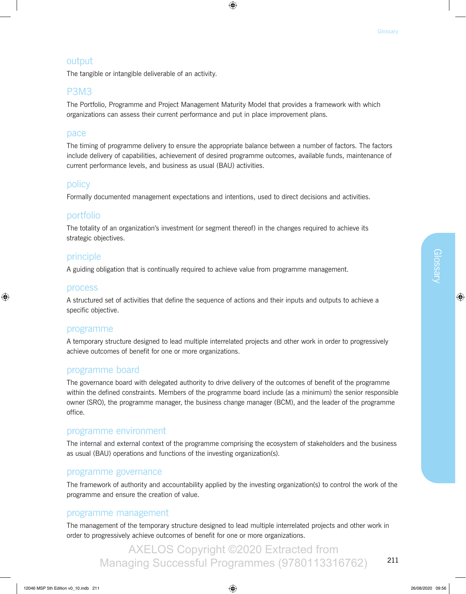## output

The tangible or intangible deliverable of an activity.

# P3M3

The Portfolio, Programme and Project Management Maturity Model that provides a framework with which organizations can assess their current performance and put in place improvement plans.

## pace

The timing of programme delivery to ensure the appropriate balance between a number of factors. The factors include delivery of capabilities, achievement of desired programme outcomes, available funds, maintenance of current performance levels, and business as usual (BAU) activities.

# policy

Formally documented management expectations and intentions, used to direct decisions and activities.

# portfolio

The totality of an organization's investment (or segment thereof) in the changes required to achieve its strategic objectives.

# principle

A guiding obligation that is continually required to achieve value from programme management.

#### process

A structured set of activities that define the sequence of actions and their inputs and outputs to achieve a specific objective.

#### programme

A temporary structure designed to lead multiple interrelated projects and other work in order to progressively achieve outcomes of benefit for one or more organizations.

#### programme board

The governance board with delegated authority to drive delivery of the outcomes of benefit of the programme within the defined constraints. Members of the programme board include (as a minimum) the senior responsible owner (SRO), the programme manager, the business change manager (BCM), and the leader of the programme office.

#### programme environment

The internal and external context of the programme comprising the ecosystem of stakeholders and the business as usual (BAU) operations and functions of the investing organization(s).

#### programme governance

The framework of authority and accountability applied by the investing organization(s) to control the work of the programme and ensure the creation of value.

#### programme management

The management of the temporary structure designed to lead multiple interrelated projects and other work in order to progressively achieve outcomes of benefit for one or more organizations.

> 211 AXELOS Copyright ©2020 Extracted from Managing Successful Programmes (9780113316762)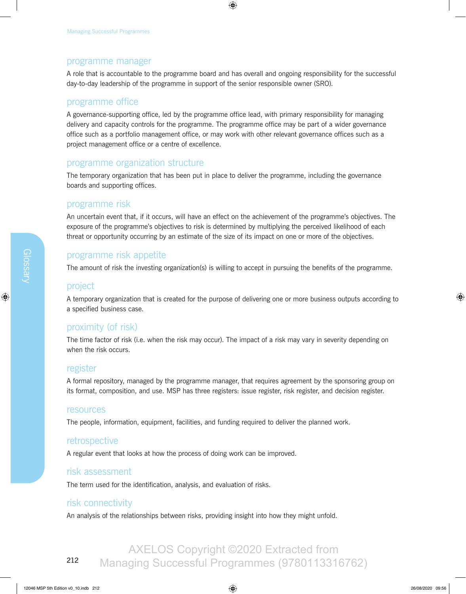#### programme manager

A role that is accountable to the programme board and has overall and ongoing responsibility for the successful day-to-day leadership of the programme in support of the senior responsible owner (SRO).

#### programme office

A governance-supporting office, led by the programme office lead, with primary responsibility for managing delivery and capacity controls for the programme. The programme office may be part of a wider governance office such as a portfolio management office, or may work with other relevant governance offices such as a project management office or a centre of excellence.

#### programme organization structure

The temporary organization that has been put in place to deliver the programme, including the governance boards and supporting offices.

#### programme risk

An uncertain event that, if it occurs, will have an effect on the achievement of the programme's objectives. The exposure of the programme's objectives to risk is determined by multiplying the perceived likelihood of each threat or opportunity occurring by an estimate of the size of its impact on one or more of the objectives.

#### programme risk appetite

The amount of risk the investing organization(s) is willing to accept in pursuing the benefits of the programme.

#### project

A temporary organization that is created for the purpose of delivering one or more business outputs according to a specified business case.

## proximity (of risk)

The time factor of risk (i.e. when the risk may occur). The impact of a risk may vary in severity depending on when the risk occurs.

#### register

A formal repository, managed by the programme manager, that requires agreement by the sponsoring group on its format, composition, and use. MSP has three registers: issue register, risk register, and decision register.

#### resources

The people, information, equipment, facilities, and funding required to deliver the planned work.

#### retrospective

A regular event that looks at how the process of doing work can be improved.

#### risk assessment

The term used for the identification, analysis, and evaluation of risks.

#### risk connectivity

An analysis of the relationships between risks, providing insight into how they might unfold.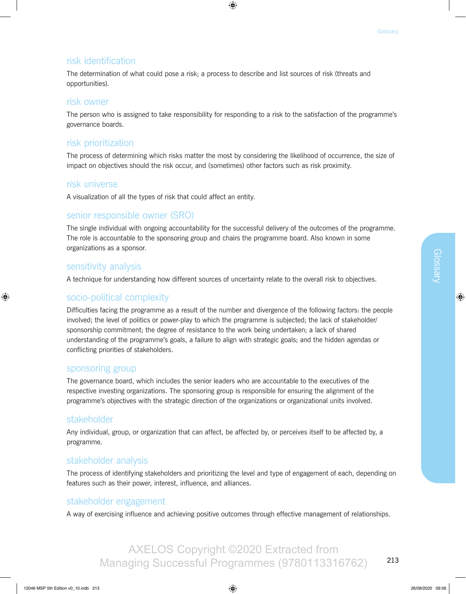# risk identification

The determination of what could pose a risk; a process to describe and list sources of risk (threats and opportunities).

## risk owner

The person who is assigned to take responsibility for responding to a risk to the satisfaction of the programme's governance boards.

# risk prioritization

The process of determining which risks matter the most by considering the likelihood of occurrence, the size of impact on objectives should the risk occur, and (sometimes) other factors such as risk proximity.

# risk universe

A visualization of all the types of risk that could affect an entity.

# senior responsible owner (SRO)

The single individual with ongoing accountability for the successful delivery of the outcomes of the programme. The role is accountable to the sponsoring group and chairs the programme board. Also known in some organizations as a sponsor.

# sensitivity analysis

A technique for understanding how different sources of uncertainty relate to the overall risk to objectives.

# socio-political complexity

Difficulties facing the programme as a result of the number and divergence of the following factors: the people involved; the level of politics or power-play to which the programme is subjected; the lack of stakeholder/ sponsorship commitment; the degree of resistance to the work being undertaken; a lack of shared understanding of the programme's goals, a failure to align with strategic goals; and the hidden agendas or conflicting priorities of stakeholders.

# sponsoring group

The governance board, which includes the senior leaders who are accountable to the executives of the respective investing organizations. The sponsoring group is responsible for ensuring the alignment of the programme's objectives with the strategic direction of the organizations or organizational units involved.

# stakeholder

Any individual, group, or organization that can affect, be affected by, or perceives itself to be affected by, a programme.

# stakeholder analysis

The process of identifying stakeholders and prioritizing the level and type of engagement of each, depending on features such as their power, interest, influence, and alliances.

# stakeholder engagement

A way of exercising influence and achieving positive outcomes through effective management of relationships.

#### 213 AXELOS Copyright ©2020 Extracted from Managing Successful Programmes (9780113316762)